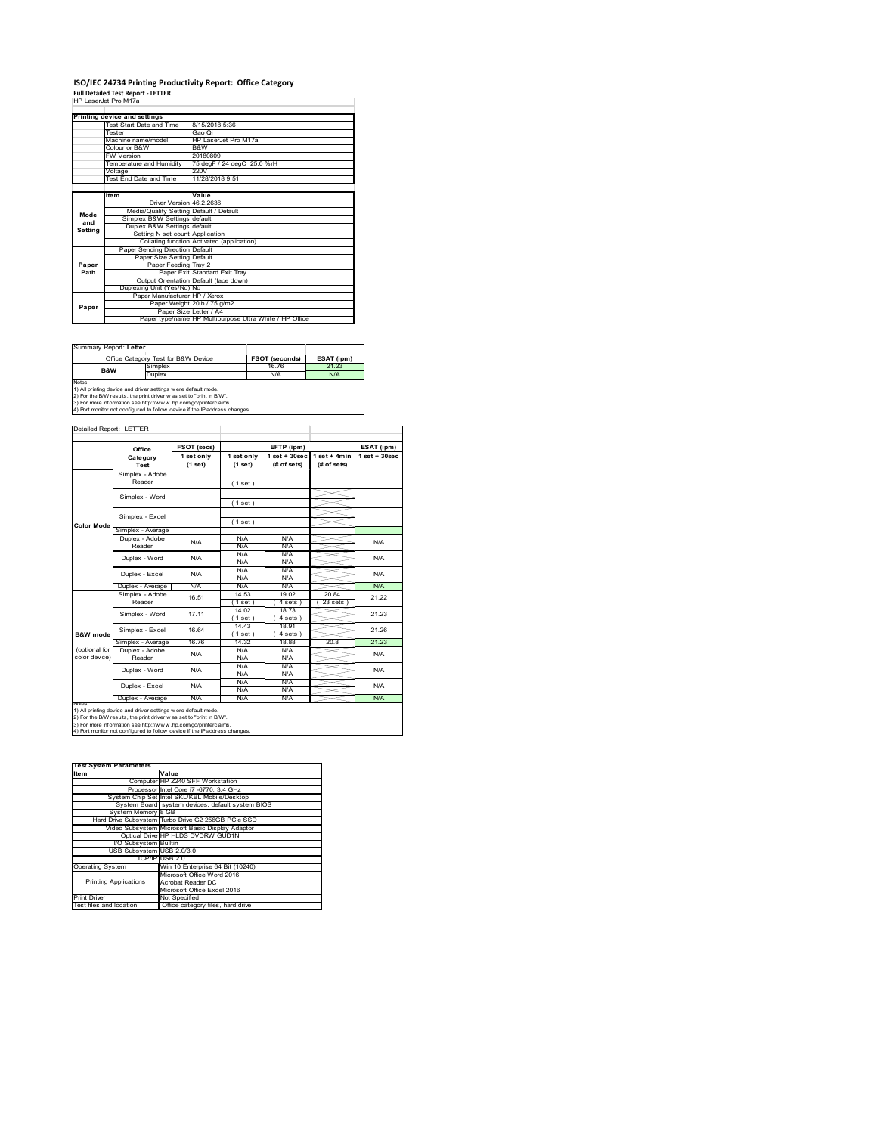# **ISO/IEC 24734 Printing Productivity Report: Office Category Full Detailed Test Report ‐ LETTER** HP LaserJet Pro M17a

|         | <b>FIF LASCIJCI FIU IVI I / A</b>       |                                                         |  |
|---------|-----------------------------------------|---------------------------------------------------------|--|
|         |                                         |                                                         |  |
|         | Printing device and settings            |                                                         |  |
|         | Test Start Date and Time                | 8/15/2018 5:36                                          |  |
|         | <b>Tester</b>                           | Gao Oi                                                  |  |
|         | Machine name/model                      | HP LaserJet Pro M17a                                    |  |
|         | Colour or B&W                           | B&W                                                     |  |
|         | <b>FW Version</b>                       | 20180809                                                |  |
|         | Temperature and Humidity                | 75 degF / 24 degC 25.0 %rH                              |  |
|         | Voltage                                 | 220V                                                    |  |
|         | Test End Date and Time                  | 11/28/2018 9:51                                         |  |
|         |                                         |                                                         |  |
|         | <b>Item</b>                             | Value                                                   |  |
|         | Driver Version 46.2.2636                |                                                         |  |
| Mode    | Media/Quality Setting Default / Default |                                                         |  |
| and     | Simplex B&W Settings default            |                                                         |  |
| Setting | Duplex B&W Settings default             |                                                         |  |
|         | Setting N set count Application         |                                                         |  |
|         |                                         | Collating function Activated (application)              |  |
|         | Paper Sending Direction Default         |                                                         |  |
|         | Paper Size Setting Default              |                                                         |  |
| Paper   | Paper Feeding Tray 2                    |                                                         |  |
| Path    |                                         | Paper Exit Standard Exit Tray                           |  |
|         |                                         | Output Orientation Default (face down)                  |  |
|         | Duplexing Unit (Yes/No) No              |                                                         |  |
|         | Paper Manufacturer HP / Xerox           |                                                         |  |
| Paper   |                                         | Paper Weight 20lb / 75 g/m2                             |  |
|         |                                         | Paper Size Letter / A4                                  |  |
|         |                                         | Paper type/name HP Multipurpose Ultra White / HP Office |  |

| Summary Report: Letter                                                     |                                                               |                       |            |  |  |  |
|----------------------------------------------------------------------------|---------------------------------------------------------------|-----------------------|------------|--|--|--|
|                                                                            | Office Category Test for B&W Device                           | <b>FSOT (seconds)</b> | ESAT (ipm) |  |  |  |
| Simplex<br><b>B&amp;W</b>                                                  |                                                               | 16.76                 | 21.23      |  |  |  |
|                                                                            | Duplex                                                        | N/A                   | N/A        |  |  |  |
| <b>Notes</b>                                                               |                                                               |                       |            |  |  |  |
|                                                                            | 1) All printing device and driver settings were default mode. |                       |            |  |  |  |
| 2) For the B/W results, the print driver was set to "print in B/W".        |                                                               |                       |            |  |  |  |
| 3) For more information see http://www.hp.com/go/printerclaims.            |                                                               |                       |            |  |  |  |
| 4) Port monitor not configured to follow device if the IP address changes. |                                                               |                       |            |  |  |  |

|                   | Office                    | <b>FSOT (secs)</b>    |                       | EFTP (ipm)                        |                               | ESAT (ipm)       |
|-------------------|---------------------------|-----------------------|-----------------------|-----------------------------------|-------------------------------|------------------|
|                   | Category<br>Test          | 1 set only<br>(1 set) | 1 set only<br>(1 set) | $1$ set + $30$ sec<br>(# of sets) | $1$ set + 4min<br>(# of sets) | $1$ set + 30sec. |
|                   | Simplex - Adobe           |                       |                       |                                   |                               |                  |
|                   | Reader                    |                       | (1 set)               |                                   |                               |                  |
|                   |                           |                       |                       |                                   |                               |                  |
|                   | Simplex - Word            |                       | (1 set)               |                                   |                               |                  |
|                   | Simplex - Excel           |                       |                       |                                   |                               |                  |
|                   |                           |                       | (1 set)               |                                   |                               |                  |
| <b>Color Mode</b> | Simplex - Average         |                       |                       |                                   |                               |                  |
|                   | Duplex - Adobe            | N/A                   | N/A                   | N/A                               |                               | N/A              |
|                   | Reader                    |                       | N/A                   | N/A                               |                               |                  |
|                   | Duplex - Word             | N/A                   | N/A                   | N/A                               |                               | N/A              |
|                   |                           |                       | N/A                   | N/A                               |                               |                  |
|                   | Duplex - Excel            | N/A                   | N/A                   | N/A                               |                               | N/A              |
|                   |                           |                       | N/A                   | N/A                               |                               |                  |
|                   | Duplex - Average          | N/A                   | N/A                   | N/A                               |                               | <b>N/A</b>       |
|                   | Simplex - Adobe<br>Reader | 16.51                 | 14.53                 | 19.02                             | 2084                          | 21.22<br>21.23   |
|                   |                           |                       | $1$ set               | 4 sets 1                          | 23 sets                       |                  |
|                   | Simplex - Word            | 17.11                 | 14.02                 | 1873                              |                               |                  |
|                   |                           |                       | $1$ set               | 4 sets)                           |                               |                  |
|                   | Simplex - Excel           | 16.64                 | 14.43                 | 18.91                             |                               | 21.26            |
| B&W mode          |                           |                       | $1$ set)              | $4 sets$ )                        |                               |                  |
|                   | Simplex - Average         | 16.76                 | 14.32                 | 18.88                             | 20.8                          | 21 23            |
| (optional for     | Duplex - Adobe            | N/A                   | N/A                   | N/A                               |                               | N/A              |
| color device)     | Reader                    |                       | N/A                   | N/A                               |                               |                  |
|                   | Duplex - Word             | N/A                   | N/A                   | N/A                               |                               | N/A              |
|                   |                           |                       | N/A                   | N/A                               |                               |                  |
|                   | Duplex - Excel            | N/A                   | N/A                   | N/A                               |                               | N/A              |
|                   |                           |                       | N/A                   | N/A                               |                               |                  |
| <b>NOTAS</b>      | Duplex - Average          | N/A                   | N/A                   | N/A                               |                               | N/A              |

2) For the B/W results, the print driver w as set to "print in B/W".<br>3) For more information see http://w w w .hp.com/go/printerclaims.<br>4) Port monitor not configured to follow device if the IP address changes.

| <b>Test System Parameters</b> |                                                    |
|-------------------------------|----------------------------------------------------|
| Item                          | Value                                              |
|                               | Computer HP Z240 SFF Workstation                   |
|                               | Processor Intel Core i7 -6770, 3.4 GHz             |
|                               | System Chip Set Intel SKL/KBL Mobile/Desktop       |
|                               | System Board system devices, default system BIOS   |
| System Memory 8 GB            |                                                    |
|                               | Hard Drive Subsystem Turbo Drive G2 256GB PCle SSD |
|                               | Video Subsystem Microsoft Basic Display Adaptor    |
|                               | Optical Drive HP HLDS DVDRW GUD1N                  |
| I/O Subsystem Builtin         |                                                    |
| USB Subsystem USB 2.0/3.0     |                                                    |
|                               | TCP/IPIUSB 2.0                                     |
| <b>Operating System</b>       | Win 10 Enterprise 64 Bit (10240)                   |
|                               | Microsoft Office Word 2016                         |
| <b>Printing Applications</b>  | Acrobat Reader DC                                  |
|                               | Microsoft Office Excel 2016                        |
| <b>Print Driver</b>           | Not Specified                                      |
| Test files and location       | Office category files, hard drive                  |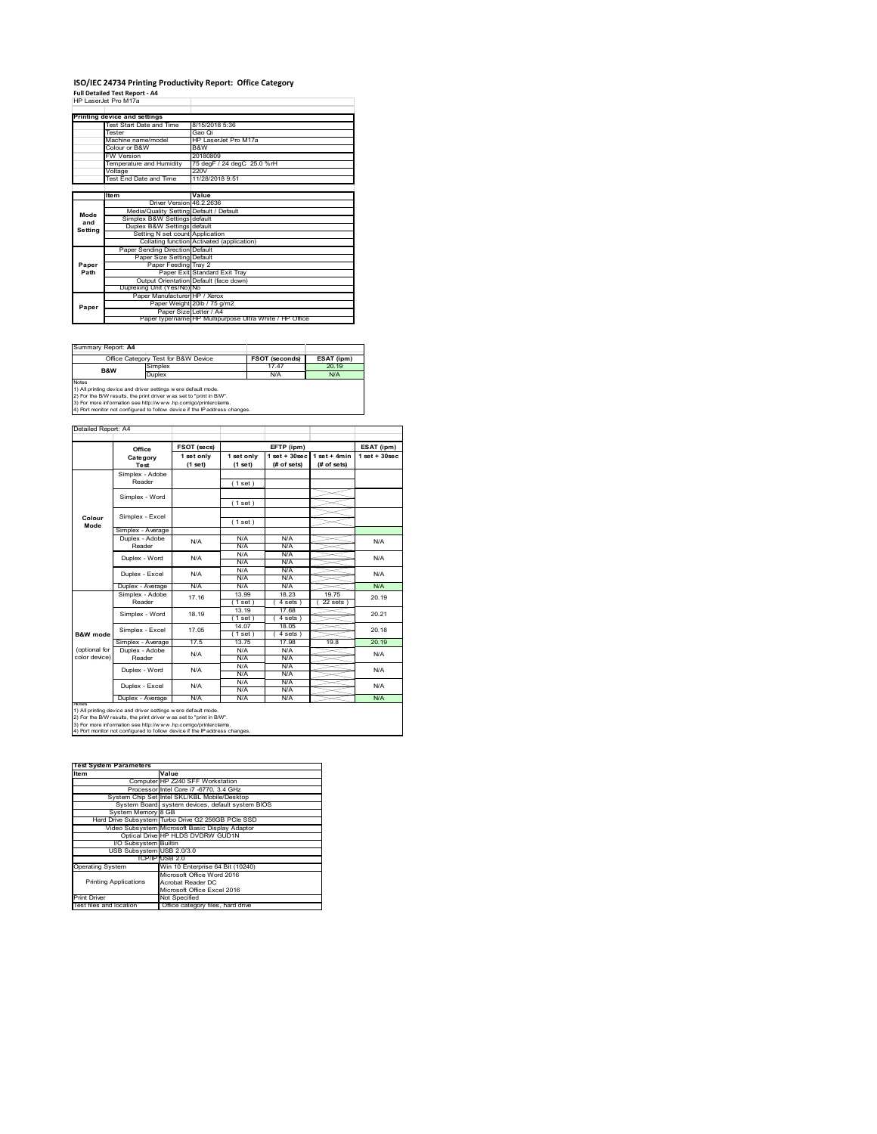#### **ISO/IEC 24734 Printing Productivity Report: Office Category Full Detailed Test Report ‐ A4** HP LaserJet Pro M17a

|         | 62 - 636 - 64 - 64 - 64 - 64            |                                                         |  |
|---------|-----------------------------------------|---------------------------------------------------------|--|
|         |                                         |                                                         |  |
|         | Printing device and settings            |                                                         |  |
|         | Test Start Date and Time                | 8/15/2018 5:36                                          |  |
|         | <b>Tester</b>                           | Gao Oi                                                  |  |
|         | Machine name/model                      | HP LaserJet Pro M17a                                    |  |
|         | Colour or B&W                           | B&W                                                     |  |
|         | <b>FW Version</b>                       | 20180809                                                |  |
|         | Temperature and Humidity                | 75 degF / 24 degC 25.0 %rH                              |  |
|         | Voltage                                 | 220V                                                    |  |
|         | Test End Date and Time                  | 11/28/2018 9:51                                         |  |
|         |                                         |                                                         |  |
|         | <b>Item</b>                             | Value                                                   |  |
|         | Driver Version 46.2.2636                |                                                         |  |
| Mode    | Media/Quality Setting Default / Default |                                                         |  |
| and     | Simplex B&W Settings default            |                                                         |  |
| Setting | Duplex B&W Settings default             |                                                         |  |
|         | Setting N set count Application         |                                                         |  |
|         |                                         | Collating function Activated (application)              |  |
|         | Paper Sending Direction Default         |                                                         |  |
|         | Paper Size Setting Default              |                                                         |  |
| Paper   | Paper Feeding Tray 2                    |                                                         |  |
| Path    |                                         | Paper Exit Standard Exit Tray                           |  |
|         |                                         | Output Orientation Default (face down)                  |  |
|         | Duplexing Unit (Yes/No) No              |                                                         |  |
|         | Paper Manufacturer HP / Xerox           |                                                         |  |
| Paper   |                                         | Paper Weight 20lb / 75 g/m2                             |  |
|         | Paper Size Letter / A4                  |                                                         |  |
|         |                                         | Paper type/name HP Multipurpose Ultra White / HP Office |  |

| Summary Report: A4                                                                                                                                   |                                     |                       |            |  |  |
|------------------------------------------------------------------------------------------------------------------------------------------------------|-------------------------------------|-----------------------|------------|--|--|
|                                                                                                                                                      | Office Category Test for B&W Device | <b>FSOT (seconds)</b> | ESAT (ipm) |  |  |
| B&W                                                                                                                                                  | Simplex                             | 17 47                 | 20.19      |  |  |
| Duplex                                                                                                                                               |                                     | N/A                   | N/A        |  |  |
| <b>Notes</b><br>1) All printing device and driver settings were default mode.<br>2) For the B/W results, the print driver was set to "print in B/W". |                                     |                       |            |  |  |
| 3) For more information see http://www.hp.com/go/printerclaims.<br>4) Port monitor not configured to follow device if the IP address changes.        |                                     |                       |            |  |  |

**FSOT (secs) ESAT (ipm) EFTP (ipm) Office 1 set only (1 set) 1 set only (1 set) 1 set + 30sec (# of sets) 1 set + 4min (# of sets) 1 set + 30sec** ( 1 set ) ( 1 set ) ( 1 set ) Simplex - Average Duplex - Adobe  $N/f$ N/A N/A N/A N/A N/A N/A N/A N/A  $\frac{N}{N}$ Duplex - Average N/A N/A N/A N/A N/A N/A<br>Simplex - Adobe <sub>4746</sub> 13.99 18.23 19.75 00.4 13.99 18.23 19.75<br>
(1set) (4 sets) (22 sets)  $(4 \text{ sets})$ <br> $17.68$ (1 set) (4 s<br>
13.19 17.1<br>
(1 set) (4 s<br>
14.07 18.1 ( 1 set ) ( 4 sets ) 14.07 18.05  $\frac{1 \text{ set}}{13.75}$  (4 sets Simplex - Average 17.5 13.75 17.98 19.8 20.19<br>
Duplex - Adobe N/A N/A N/A N/A N/A N/A N/A N/A N/A N/A N/A N/A<br>N/A N/A N/A N/A N/A N/A<br>N/A N/A<br>N/A N/A N/A<br>N/A Duplex - Average N/A N/A N/A N/A N/A N/A Duplex - Word Duplex - Excel N/A N/A N/A N/A N/A 20.19 20.21 20.18 N/A N/A Reader Simplex - Word 18.19 Duplex - Excel 17.16 notes<br>1) All printing device and driver settings were default mode.<br>2) For the B/W results, the print driver was set to "print in B/W".<br>3) For more information see http://www.hp.com/go/printerclaims.<br>4) Por moralitor not c **B&W mode** (optional for color device) **Colour Mode** Simplex - Adobe Reader Simplex - Excel Simplex - Word Simplex - Excel 17.05 Reader Duplex - Word ailed Report: A4 **Category Test** N/A  $N/A$   $N/A$   $N/A$   $N/A$   $N/A$ N/A

**Item Value Test System Parameters**Computer HP Z240 SFF Workstation Processor Intel Core i7 -6770, 3.4 GHz System Chip Set Intel SKL/KBL Mobile/Desktop System Board system devices, default system BIOS System Memory 8 GB Hard Drive Subsystem Turbo Drive G2 256GB PCIe SSD Video Subsystem Microsoft Basic Display Adaptor Optical Drive HP HLDS DVDRW GUD1N I/O Subsystem Builtin USB Subsystem USB 2.0/3.0 TCP/IP USB 2.0<br>
Win 10 Enterprise 64 Bit (10240)<br>
Microsoft Office Word 2016<br>
Printing Applications<br>
Acrobat Reader DC<br>
Microsoft Office Excel 2016 Printing Applications Print Driver Mot Specified<br>Test files and location Office category files, hard drive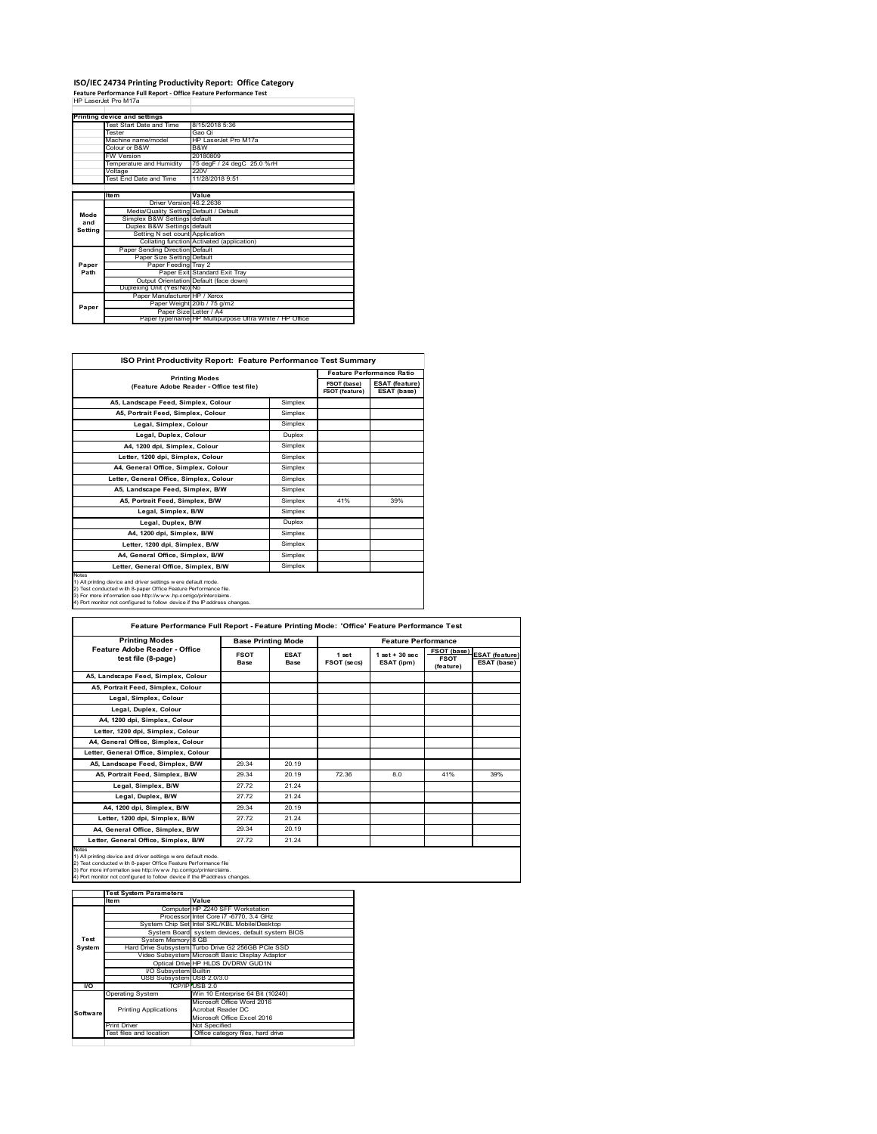## **ISO/IEC 24734 Printing Productivity Report: Office Category Feature Performance Full Report ‐ Office Feature Performance Test** HP LaserJet Pro M17a

|         | Printing device and settings            |                                                         |
|---------|-----------------------------------------|---------------------------------------------------------|
|         | Test Start Date and Time                | 8/15/2018 5:36                                          |
|         | <b>Tester</b>                           | Gao Oi                                                  |
|         | Machine name/model                      | HP LaserJet Pro M17a                                    |
|         | Colour or B&W                           | B&W                                                     |
|         | <b>FW Version</b>                       | 20180809                                                |
|         | Temperature and Humidity                | 75 degF / 24 degC 25.0 %rH                              |
|         | Voltage                                 | 220V                                                    |
|         | Test End Date and Time                  | 11/28/2018 9:51                                         |
|         |                                         |                                                         |
|         | <b>Item</b>                             | Value                                                   |
|         | Driver Version 46.2.2636                |                                                         |
| Mode    | Media/Quality Setting Default / Default |                                                         |
| and     | Simplex B&W Settings default            |                                                         |
| Setting | Duplex B&W Settings default             |                                                         |
|         | Setting N set count Application         |                                                         |
|         |                                         | Collating function Activated (application)              |
|         | Paper Sending Direction Default         |                                                         |
|         | Paper Size Setting Default              |                                                         |
| Paper   | Paper Feeding Tray 2                    |                                                         |
| Path    |                                         | Paper Exit Standard Exit Tray                           |
|         |                                         | Output Orientation Default (face down)                  |
|         | Duplexing Unit (Yes/No) No              |                                                         |
|         | Paper Manufacturer HP / Xerox           |                                                         |
| Paper   |                                         | Paper Weight 20lb / 75 g/m2                             |
|         | Paper Size Letter / A4                  |                                                         |
|         |                                         | Paper type/name HP Multipurpose Ultra White / HP Office |

| ISO Print Productivity Report: Feature Performance Test Summary                                                                                                                                                                                                                                   |                                  |                               |                                      |  |  |
|---------------------------------------------------------------------------------------------------------------------------------------------------------------------------------------------------------------------------------------------------------------------------------------------------|----------------------------------|-------------------------------|--------------------------------------|--|--|
| <b>Printing Modes</b>                                                                                                                                                                                                                                                                             | <b>Feature Performance Ratio</b> |                               |                                      |  |  |
| (Feature Adobe Reader - Office test file)                                                                                                                                                                                                                                                         |                                  | FSOT (base)<br>FSOT (feature) | <b>ESAT (feature)</b><br>ESAT (base) |  |  |
| A5, Landscape Feed, Simplex, Colour                                                                                                                                                                                                                                                               | Simplex                          |                               |                                      |  |  |
| A5, Portrait Feed, Simplex, Colour                                                                                                                                                                                                                                                                | Simplex                          |                               |                                      |  |  |
| Legal, Simplex, Colour                                                                                                                                                                                                                                                                            | Simplex                          |                               |                                      |  |  |
| Legal, Duplex, Colour                                                                                                                                                                                                                                                                             | Duplex                           |                               |                                      |  |  |
| A4. 1200 dpi. Simplex. Colour                                                                                                                                                                                                                                                                     | Simplex                          |                               |                                      |  |  |
| Letter, 1200 dpi, Simplex, Colour                                                                                                                                                                                                                                                                 | Simplex                          |                               |                                      |  |  |
| A4. General Office. Simplex. Colour                                                                                                                                                                                                                                                               | Simplex                          |                               |                                      |  |  |
| Letter, General Office, Simplex, Colour                                                                                                                                                                                                                                                           | Simplex                          |                               |                                      |  |  |
| A5. Landscape Feed. Simplex, B/W                                                                                                                                                                                                                                                                  | Simplex                          |                               |                                      |  |  |
| A5, Portrait Feed, Simplex, B/W                                                                                                                                                                                                                                                                   | Simplex                          | 41%                           | 39%                                  |  |  |
| Legal, Simplex, B/W                                                                                                                                                                                                                                                                               | Simplex                          |                               |                                      |  |  |
| Legal, Duplex, B/W                                                                                                                                                                                                                                                                                | Duplex                           |                               |                                      |  |  |
| A4, 1200 dpi, Simplex, B/W                                                                                                                                                                                                                                                                        | Simplex                          |                               |                                      |  |  |
| Letter, 1200 dpi, Simplex, B/W                                                                                                                                                                                                                                                                    | Simplex                          |                               |                                      |  |  |
| A4. General Office. Simplex. B/W                                                                                                                                                                                                                                                                  | Simplex                          |                               |                                      |  |  |
| Letter, General Office, Simplex, B/W                                                                                                                                                                                                                                                              | Simplex                          |                               |                                      |  |  |
| <b>Notes</b><br>1) All printing device and driver settings were default mode.<br>2) Test conducted with 8-paper Office Feature Performance file.<br>3) For more information see http://www.hp.com/go/printerclaims.<br>4) Port monitor not configured to follow device if the IP address changes. |                                  |                               |                                      |  |  |

| <b>Printing Modes</b>                               |                     | <b>Base Printing Mode</b>  |                      | <b>Feature Performance</b>       |                                         |                                      |
|-----------------------------------------------------|---------------------|----------------------------|----------------------|----------------------------------|-----------------------------------------|--------------------------------------|
| Feature Adobe Reader - Office<br>test file (8-page) | <b>FSOT</b><br>Base | <b>ESAT</b><br><b>Base</b> | 1 set<br>FSOT (secs) | $1$ set $+30$ sec.<br>ESAT (ipm) | FSOT (base)<br><b>FSOT</b><br>(feature) | <b>ESAT (feature)</b><br>ESAT (base) |
| A5, Landscape Feed, Simplex, Colour                 |                     |                            |                      |                                  |                                         |                                      |
| A5, Portrait Feed, Simplex, Colour                  |                     |                            |                      |                                  |                                         |                                      |
| Legal, Simplex, Colour                              |                     |                            |                      |                                  |                                         |                                      |
| Legal, Duplex, Colour                               |                     |                            |                      |                                  |                                         |                                      |
| A4, 1200 dpi, Simplex, Colour                       |                     |                            |                      |                                  |                                         |                                      |
| Letter, 1200 dpi, Simplex, Colour                   |                     |                            |                      |                                  |                                         |                                      |
| A4, General Office, Simplex, Colour                 |                     |                            |                      |                                  |                                         |                                      |
| Letter, General Office, Simplex, Colour             |                     |                            |                      |                                  |                                         |                                      |
| A5, Landscape Feed, Simplex, B/W                    | 29.34               | 20.19                      |                      |                                  |                                         |                                      |
| A5, Portrait Feed, Simplex, B/W                     | 29.34               | 20.19                      | 72.36                | 8.0                              | 41%                                     | 39%                                  |
| Legal, Simplex, B/W                                 | 27.72               | 21.24                      |                      |                                  |                                         |                                      |
| Legal, Duplex, B/W                                  | 27.72               | 21.24                      |                      |                                  |                                         |                                      |
| A4, 1200 dpi, Simplex, B/W                          | 29.34               | 20.19                      |                      |                                  |                                         |                                      |
| Letter, 1200 dpi, Simplex, B/W                      | 27.72               | 21.24                      |                      |                                  |                                         |                                      |
| A4. General Office. Simplex. B/W                    | 29.34               | 20.19                      |                      |                                  |                                         |                                      |
| Letter, General Office, Simplex, B/W                | 27.72               | 21.24                      |                      |                                  |                                         |                                      |

1) All printing device and driver settings were default mode.<br>2) Test conducted with 8-paper Office Feature Performance file<br>3) For more information see http://www.hp.com/go/printerclaims.<br>4) Port monitor not configured to

|           | <b>Test System Parameters</b> |                                                    |  |
|-----------|-------------------------------|----------------------------------------------------|--|
|           | Item                          | Value                                              |  |
|           |                               | Computer HP Z240 SFF Workstation                   |  |
|           |                               | Processor Intel Core i7 -6770, 3.4 GHz             |  |
|           |                               | System Chip Set Intel SKL/KBL Mobile/Desktop       |  |
|           |                               | System Board system devices, default system BIOS   |  |
| Test      | System Memory 8 GB            |                                                    |  |
| System    |                               | Hard Drive Subsystem Turbo Drive G2 256GB PCle SSD |  |
|           |                               | Video Subsystem Microsoft Basic Display Adaptor    |  |
|           |                               | Optical Drive HP HLDS DVDRW GUD1N                  |  |
|           | <b>VO Subsystem Builtin</b>   |                                                    |  |
|           | USB Subsystem USB 2.0/3.0     |                                                    |  |
| <b>VO</b> |                               | TCP/IP USB 2.0                                     |  |
|           | <b>Operating System</b>       | Win 10 Enterprise 64 Bit (10240)                   |  |
|           |                               | Microsoft Office Word 2016                         |  |
| Software  | <b>Printing Applications</b>  | Acrobat Reader DC                                  |  |
|           |                               | Microsoft Office Excel 2016                        |  |
|           | <b>Print Driver</b>           | Not Specified                                      |  |
|           | Test files and location       | Office category files, hard drive                  |  |
|           |                               |                                                    |  |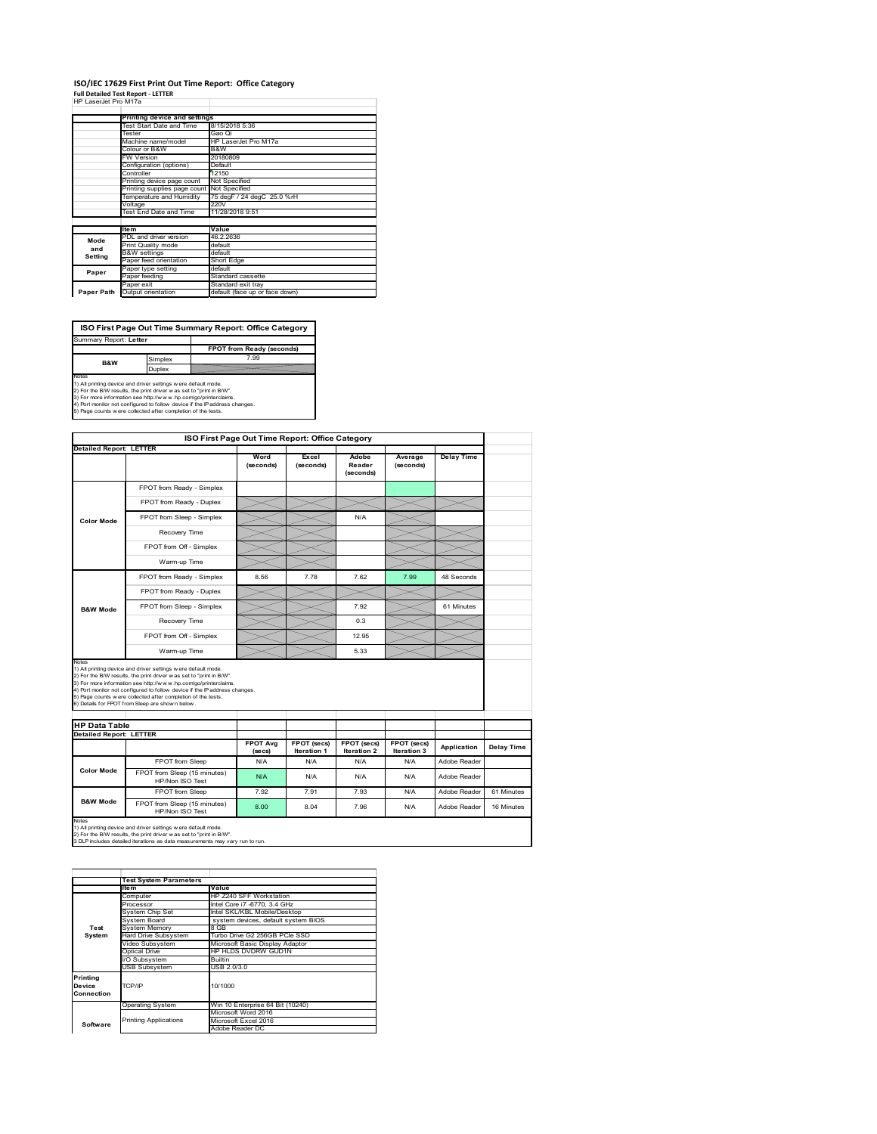### **ISO/IEC 17629 First Print Out Time Report: Office Category Full Detailed Test Report ‐ LETTER** HP LaserJet Pro M17a

| HP LaserJet Pro M17a |  |  |
|----------------------|--|--|

|            | Printing device and settings |                                |  |  |
|------------|------------------------------|--------------------------------|--|--|
|            | Test Start Date and Time     | 8/15/2018 5:36                 |  |  |
|            | Tester                       | Gao Qi                         |  |  |
|            | Machine name/model           | HP LaserJet Pro M17a           |  |  |
|            | Colour or B&W                | B&W                            |  |  |
|            | <b>FW Version</b>            | 20180809                       |  |  |
|            | Configuration (options)      | Default                        |  |  |
|            | Controller                   | 12150                          |  |  |
|            | Printing device page count   | Not Specified                  |  |  |
|            | Printing supplies page count | Not Specified                  |  |  |
|            | Temperature and Humidity     | 75 degF / 24 degC 25.0 %rH     |  |  |
|            | Voltage                      | 220V                           |  |  |
|            | Test End Date and Time       | 11/28/2018 9:51                |  |  |
|            |                              |                                |  |  |
|            | <b>Item</b>                  | Value                          |  |  |
| Mode       | PDL and driver version       | 46.2.2636                      |  |  |
| and        | Print Quality mode           | default                        |  |  |
| Setting    | <b>B&amp;W</b> settings      | default                        |  |  |
|            | Paper feed orientation       | Short Edge                     |  |  |
| Paper      | Paper type setting           | default                        |  |  |
|            | Paper feeding                | Standard cassette              |  |  |
|            | Paper exit                   | Standard exit trav             |  |  |
| Paper Path | Output orientation           | default (face up or face down) |  |  |

**FPOT from Ready (seconds)**<br>Simplex 7.99 **ISO First Page Out Time Summary Report: Office Category** Summary Report: **Letter**

**B&W**

**Duplex**<br>Notes<br>1) All printing device and driver settings were default mode.<br>2) For the BM results, the print driver was set to "print in BM".<br>4) For more information see http://www.hp.com/golprinterclaims.<br>4) Port monitor

|                                                                 |                                                                                                                                                                                                                                                                                                                                                                                                             |                            | ISO First Page Out Time Report: Office Category |                              |                            |                   |            |
|-----------------------------------------------------------------|-------------------------------------------------------------------------------------------------------------------------------------------------------------------------------------------------------------------------------------------------------------------------------------------------------------------------------------------------------------------------------------------------------------|----------------------------|-------------------------------------------------|------------------------------|----------------------------|-------------------|------------|
| <b>Detailed Report: LETTER</b>                                  |                                                                                                                                                                                                                                                                                                                                                                                                             | Word<br>(seconds)          | Excel<br>(seconds)                              | Adobe<br>Reader<br>(seconds) | Average<br>(seconds)       | <b>Delay Time</b> |            |
|                                                                 | FPOT from Ready - Simplex                                                                                                                                                                                                                                                                                                                                                                                   |                            |                                                 |                              |                            |                   |            |
| <b>Color Mode</b>                                               | FPOT from Ready - Duplex                                                                                                                                                                                                                                                                                                                                                                                    |                            |                                                 |                              |                            |                   |            |
|                                                                 | FPOT from Sleep - Simplex                                                                                                                                                                                                                                                                                                                                                                                   |                            |                                                 | N/A                          |                            |                   |            |
|                                                                 | Recovery Time                                                                                                                                                                                                                                                                                                                                                                                               |                            |                                                 |                              |                            |                   |            |
|                                                                 | FPOT from Off - Simplex                                                                                                                                                                                                                                                                                                                                                                                     |                            |                                                 |                              |                            |                   |            |
|                                                                 | Warm-up Time                                                                                                                                                                                                                                                                                                                                                                                                |                            |                                                 |                              |                            |                   |            |
|                                                                 | FPOT from Ready - Simplex                                                                                                                                                                                                                                                                                                                                                                                   | 8.56                       | 7.78                                            | 7.62                         | 7.99                       | 48 Seconds        |            |
|                                                                 | FPOT from Ready - Duplex                                                                                                                                                                                                                                                                                                                                                                                    |                            |                                                 |                              |                            |                   |            |
| <b>B&amp;W Mode</b>                                             | FPOT from Sleep - Simplex                                                                                                                                                                                                                                                                                                                                                                                   |                            |                                                 | 7.92                         |                            | 61 Minutes        |            |
|                                                                 | Recovery Time                                                                                                                                                                                                                                                                                                                                                                                               |                            |                                                 | 0.3                          |                            |                   |            |
|                                                                 | FPOT from Off - Simplex                                                                                                                                                                                                                                                                                                                                                                                     |                            |                                                 | 12.95                        |                            |                   |            |
|                                                                 |                                                                                                                                                                                                                                                                                                                                                                                                             |                            |                                                 |                              |                            |                   |            |
|                                                                 | Warm-up Time                                                                                                                                                                                                                                                                                                                                                                                                |                            |                                                 | 5.33                         |                            |                   |            |
|                                                                 | 1) All printing device and driver settings w ere default mode.<br>2) For the B/W results, the print driver was set to "print in B/W".<br>3) For more information see http://www.hp.com/go/printerclaims.<br>4) Port monitor not configured to follow device if the IP address changes.<br>5) Page counts w ere collected after completion of the tests.<br>6) Details for FPOT from Sleep are show n below. |                            |                                                 |                              |                            |                   |            |
|                                                                 |                                                                                                                                                                                                                                                                                                                                                                                                             |                            |                                                 |                              |                            |                   |            |
|                                                                 |                                                                                                                                                                                                                                                                                                                                                                                                             | <b>FPOT Avg</b><br>(se cs) | FPOT (secs)<br><b>Iteration 1</b>               | FPOT (secs)<br>Iteration 2   | FPOT (secs)<br>Iteration 3 | Application       | Delay Time |
|                                                                 | FPOT from Sleep                                                                                                                                                                                                                                                                                                                                                                                             | N/A                        | N/A                                             | N/A                          | N/A                        | Adobe Reader      |            |
| <b>Color Mode</b>                                               | FPOT from Sleep (15 minutes)<br>HP/Non ISO Test                                                                                                                                                                                                                                                                                                                                                             | N/A                        | N/A                                             | N/A                          | N/A                        | Adobe Reader      |            |
| Notes<br><b>HP Data Table</b><br><b>Detailed Report: LETTER</b> | FPOT from Sleep                                                                                                                                                                                                                                                                                                                                                                                             | 7.92                       | 791                                             | 7.93                         | N/A                        | Adobe Reader      | 61 Minutes |

1) All printing device and driver settings w ere default mode.<br>2) For the B/W results, the print driver w as set to "print in B/W".<br>3 DLP includes detailed iterations as data measurements may vary run to run.

|                                  | <b>Test System Parameters</b> |                                     |  |
|----------------------------------|-------------------------------|-------------------------------------|--|
|                                  | Item                          | Value                               |  |
|                                  | Computer                      | HP Z240 SFF Workstation             |  |
|                                  | Processor                     | Intel Core i7 -6770, 3.4 GHz        |  |
|                                  | System Chip Set               | Intel SKL/KBL Mobile/Desktop        |  |
|                                  | System Board                  | system devices, default system BIOS |  |
| Test                             | <b>System Memory</b>          | 8 GB                                |  |
| System                           | Hard Drive Subsystem          | Turbo Drive G2 256GB PCle SSD       |  |
|                                  | Video Subsystem               | Microsoft Basic Display Adaptor     |  |
|                                  | Optical Drive                 | HP HLDS DVDRW GUD1N                 |  |
|                                  | I/O Subsystem                 | <b>Builtin</b>                      |  |
|                                  | <b>USB Subsystem</b>          | USB 2.0/3.0                         |  |
| Printing<br>Device<br>Connection | TCP/IP                        | 10/1000                             |  |
|                                  | <b>Operating System</b>       | Win 10 Enterprise 64 Bit (10240)    |  |
|                                  |                               | Microsoft Word 2016                 |  |
| Software                         | <b>Printing Applications</b>  | Microsoft Excel 2016                |  |
|                                  |                               | Adobe Reader DC                     |  |